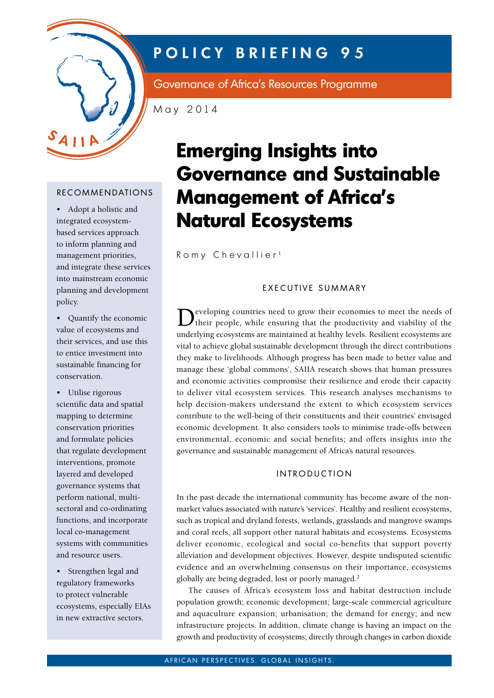

# **POLICY BRIEFING 95**

Governance of Africa's Resources Programme

May 2014

# **RECOMMENDATIONS**

• Adopt a holistic and integrated ecosystembased services approach to inform planning and management priorities, and integrate these services into mainstream economic planning and development policy.

• Quantify the economic value of ecosystems and their services, and use this to entice investment into sustainable financing for conservation.

• Utilise rigorous scientific data and spatial mapping to determine conservation priorities and formulate policies that regulate development interventions, promote layered and developed governance systems that perform national, multisectoral and co-ordinating functions, and incorporate local co-management systems with communities and resource users.

• Strengthen legal and regulatory frameworks to protect vulnerable ecosystems, especially EIAs in new extractive sectors.

# **Emerging Insights into Governance and Sustainable Management of Africa's Natural Ecosystems**

Romy Chevallier<sup>1</sup>

### EXECUTIVE SUMMARY

Developing countries need to grow their economies to meet the needs of their people, while ensuring that the productivity and viability of the underlying ecosystems are maintained at healthy levels. Resilient ecosystems are vital to achieve global sustainable development through the direct contributions they make to livelihoods. Although progress has been made to better value and manage these 'global commons', SAIIA research shows that human pressures and economic activities compromise their resilience and erode their capacity to deliver vital ecosystem services. This research analyses mechanisms to help decision-makers understand the extent to which ecosystem services contribute to the well-being of their constituents and their countries' envisaged economic development. It also considers tools to minimise trade-offs between environmental, economic and social benefits; and offers insights into the governance and sustainable management of Africa's natural resources.

# **INTRODUCTION**

In the past decade the international community has become aware of the nonmarket values associated with nature's 'services'. Healthy and resilient ecosystems, such as tropical and dryland forests, wetlands, grasslands and mangrove swamps and coral reefs, all support other natural habitats and ecosystems. Ecosystems deliver economic, ecological and social co-benefits that support poverty alleviation and development objectives. However, despite undisputed scientific evidence and an overwhelming consensus on their importance, ecosystems globally are being degraded, lost or poorly managed.<sup>2</sup>

The causes of Africa's ecosystem loss and habitat destruction include population growth; economic development; large-scale commercial agriculture and aquaculture expansion; urbanisation; the demand for energy; and new infrastructure projects. In addition, climate change is having an impact on the growth and productivity of ecosystems; directly through changes in carbon dioxide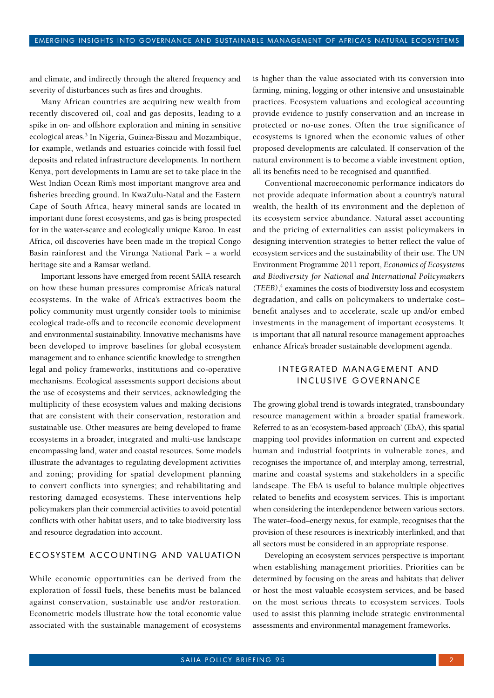and climate, and indirectly through the altered frequency and severity of disturbances such as fires and droughts.

Many African countries are acquiring new wealth from recently discovered oil, coal and gas deposits, leading to a spike in on- and offshore exploration and mining in sensitive ecological areas.<sup>3</sup> In Nigeria, Guinea-Bissau and Mozambique, for example, wetlands and estuaries coincide with fossil fuel deposits and related infrastructure developments. In northern Kenya, port developments in Lamu are set to take place in the West Indian Ocean Rim's most important mangrove area and fisheries breeding ground. In KwaZulu-Natal and the Eastern Cape of South Africa, heavy mineral sands are located in important dune forest ecosystems, and gas is being prospected for in the water-scarce and ecologically unique Karoo. In east Africa, oil discoveries have been made in the tropical Congo Basin rainforest and the Virunga National Park – a world heritage site and a Ramsar wetland.

Important lessons have emerged from recent SAIIA research on how these human pressures compromise Africa's natural ecosystems. In the wake of Africa's extractives boom the policy community must urgently consider tools to minimise ecological trade-offs and to reconcile economic development and environmental sustainability. Innovative mechanisms have been developed to improve baselines for global ecosystem management and to enhance scientific knowledge to strengthen legal and policy frameworks, institutions and co-operative mechanisms. Ecological assessments support decisions about the use of ecosystems and their services, acknowledging the multiplicity of these ecosystem values and making decisions that are consistent with their conservation, restoration and sustainable use. Other measures are being developed to frame ecosystems in a broader, integrated and multi-use landscape encompassing land, water and coastal resources. Some models illustrate the advantages to regulating development activities and zoning; providing for spatial development planning to convert conflicts into synergies; and rehabilitating and restoring damaged ecosystems. These interventions help policymakers plan their commercial activities to avoid potential conflicts with other habitat users, and to take biodiversity loss and resource degradation into account.

#### ECOSYSTEM ACCOUNTING AND VALUATION

While economic opportunities can be derived from the exploration of fossil fuels, these benefits must be balanced against conservation, sustainable use and/or restoration. Econometric models illustrate how the total economic value associated with the sustainable management of ecosystems

is higher than the value associated with its conversion into farming, mining, logging or other intensive and unsustainable practices. Ecosystem valuations and ecological accounting provide evidence to justify conservation and an increase in protected or no-use zones. Often the true significance of ecosystems is ignored when the economic values of other proposed developments are calculated. If conservation of the natural environment is to become a viable investment option, all its benefits need to be recognised and quantified.

Conventional macroeconomic performance indicators do not provide adequate information about a country's natural wealth, the health of its environment and the depletion of its ecosystem service abundance. Natural asset accounting and the pricing of externalities can assist policymakers in designing intervention strategies to better reflect the value of ecosystem services and the sustainability of their use. The UN Environment Programme 2011 report, *Economics of Ecosystems and Biodiversity for National and International Policymakers (TEEB)*, 4 examines the costs of biodiversity loss and ecosystem degradation, and calls on policymakers to undertake cost*–* benefit analyses and to accelerate, scale up and/or embed investments in the management of important ecosystems. It is important that all natural resource management approaches enhance Africa's broader sustainable development agenda.

#### INTEGRATED MANAGEMENT AND INCLUSIVE GOVERNANCE

The growing global trend is towards integrated, transboundary resource management within a broader spatial framework. Referred to as an 'ecosystem-based approach' (EbA), this spatial mapping tool provides information on current and expected human and industrial footprints in vulnerable zones, and recognises the importance of, and interplay among, terrestrial, marine and coastal systems and stakeholders in a specific landscape. The EbA is useful to balance multiple objectives related to benefits and ecosystem services. This is important when considering the interdependence between various sectors. The water–food–energy nexus, for example, recognises that the provision of these resources is inextricably interlinked, and that all sectors must be considered in an appropriate response.

Developing an ecosystem services perspective is important when establishing management priorities. Priorities can be determined by focusing on the areas and habitats that deliver or host the most valuable ecosystem services, and be based on the most serious threats to ecosystem services. Tools used to assist this planning include strategic environmental assessments and environmental management frameworks.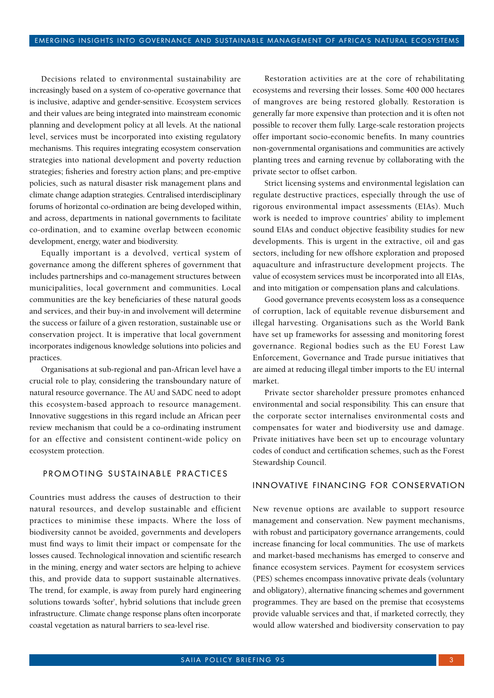Decisions related to environmental sustainability are increasingly based on a system of co-operative governance that is inclusive, adaptive and gender-sensitive. Ecosystem services and their values are being integrated into mainstream economic planning and development policy at all levels. At the national level, services must be incorporated into existing regulatory mechanisms. This requires integrating ecosystem conservation strategies into national development and poverty reduction strategies; fisheries and forestry action plans; and pre-emptive policies, such as natural disaster risk management plans and climate change adaption strategies. Centralised interdisciplinary forums of horizontal co-ordination are being developed within, and across, departments in national governments to facilitate co-ordination, and to examine overlap between economic development, energy, water and biodiversity.

Equally important is a devolved, vertical system of governance among the different spheres of government that includes partnerships and co-management structures between municipalities, local government and communities. Local communities are the key beneficiaries of these natural goods and services, and their buy-in and involvement will determine the success or failure of a given restoration, sustainable use or conservation project. It is imperative that local government incorporates indigenous knowledge solutions into policies and practices.

Organisations at sub-regional and pan-African level have a crucial role to play, considering the transboundary nature of natural resource governance. The AU and SADC need to adopt this ecosystem-based approach to resource management. Innovative suggestions in this regard include an African peer review mechanism that could be a co-ordinating instrument for an effective and consistent continent-wide policy on ecosystem protection.

# PROMOTING SUSTAINABLE PRACTICES

Countries must address the causes of destruction to their natural resources, and develop sustainable and efficient practices to minimise these impacts. Where the loss of biodiversity cannot be avoided, governments and developers must find ways to limit their impact or compensate for the losses caused. Technological innovation and scientific research in the mining, energy and water sectors are helping to achieve this, and provide data to support sustainable alternatives. The trend, for example, is away from purely hard engineering solutions towards 'softer', hybrid solutions that include green infrastructure. Climate change response plans often incorporate coastal vegetation as natural barriers to sea-level rise.

Restoration activities are at the core of rehabilitating ecosystems and reversing their losses. Some 400 000 hectares of mangroves are being restored globally. Restoration is generally far more expensive than protection and it is often not possible to recover them fully. Large-scale restoration projects offer important socio-economic benefits. In many countries non-governmental organisations and communities are actively planting trees and earning revenue by collaborating with the private sector to offset carbon.

Strict licensing systems and environmental legislation can regulate destructive practices, especially through the use of rigorous environmental impact assessments (EIAs). Much work is needed to improve countries' ability to implement sound EIAs and conduct objective feasibility studies for new developments. This is urgent in the extractive, oil and gas sectors, including for new offshore exploration and proposed aquaculture and infrastructure development projects. The value of ecosystem services must be incorporated into all EIAs, and into mitigation or compensation plans and calculations.

Good governance prevents ecosystem loss as a consequence of corruption, lack of equitable revenue disbursement and illegal harvesting. Organisations such as the World Bank have set up frameworks for assessing and monitoring forest governance. Regional bodies such as the EU Forest Law Enforcement, Governance and Trade pursue initiatives that are aimed at reducing illegal timber imports to the EU internal market.

Private sector shareholder pressure promotes enhanced environmental and social responsibility. This can ensure that the corporate sector internalises environmental costs and compensates for water and biodiversity use and damage. Private initiatives have been set up to encourage voluntary codes of conduct and certification schemes, such as the Forest Stewardship Council.

#### INNOVATIVE FINANCING FOR CONSERVATION

New revenue options are available to support resource management and conservation. New payment mechanisms, with robust and participatory governance arrangements, could increase financing for local communities. The use of markets and market-based mechanisms has emerged to conserve and finance ecosystem services. Payment for ecosystem services (PES) schemes encompass innovative private deals (voluntary and obligatory), alternative financing schemes and government programmes. They are based on the premise that ecosystems provide valuable services and that, if marketed correctly, they would allow watershed and biodiversity conservation to pay